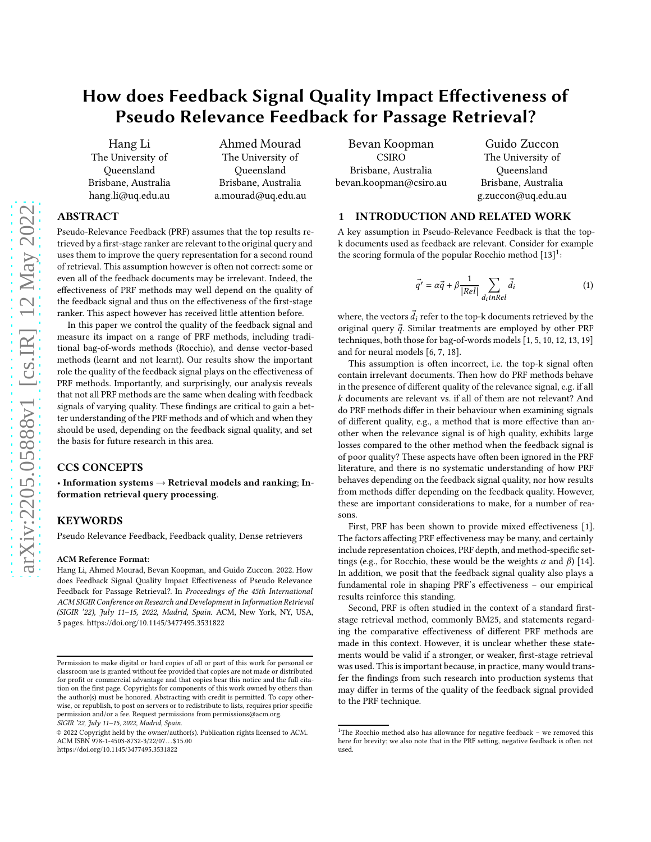# How does Feedback Signal Quality Impact Effectiveness of Pseudo Relevance Feedback for Passage Retrieval?

Hang Li The University of Queensland Brisbane, Australia hang.li@uq.edu.au

Ahmed Mourad The University of Queensland Brisbane, Australia a.mourad@uq.edu.au

## ABSTRACT

Pseudo-Relevance Feedback (PRF) assumes that the top results retrieved by a first-stage ranker are relevant to the original query and uses them to improve the query representation for a second round of retrieval. This assumption however is often not correct: some or even all of the feedback documents may be irrelevant. Indeed, the effectiveness of PRF methods may well depend on the quality of the feedback signal and thus on the effectiveness of the first-stage ranker. This aspect however has received little attention before.

In this paper we control the quality of the feedback signal and measure its impact on a range of PRF methods, including traditional bag-of-words methods (Rocchio), and dense vector-based methods (learnt and not learnt). Our results show the important role the quality of the feedback signal plays on the effectiveness of PRF methods. Importantly, and surprisingly, our analysis reveals that not all PRF methods are the same when dealing with feedback signals of varying quality. These findings are critical to gain a better understanding of the PRF methods and of which and when they should be used, depending on the feedback signal quality, and set the basis for future research in this area.

## CCS CONCEPTS

• Information systems  $\rightarrow$  Retrieval models and ranking; Information retrieval query processing.

## **KEYWORDS**

Pseudo Relevance Feedback, Feedback quality, Dense retrievers

#### ACM Reference Format:

Hang Li, Ahmed Mourad, Bevan Koopman, and Guido Zuccon. 2022. How does Feedback Signal Quality Impact Effectiveness of Pseudo Relevance Feedback for Passage Retrieval?. In *Proceedings of the 45th International ACM SIGIR Conference on Research and Development in Information Retrieval (SIGIR '22), July 11–15, 2022, Madrid, Spain.* ACM, New York, NY, USA, [5](#page-4-0) pages.<https://doi.org/10.1145/3477495.3531822>

Bevan Koopman CSIRO Brisbane, Australia bevan.koopman@csiro.au

Guido Zuccon The University of Queensland Brisbane, Australia g.zuccon@uq.edu.au

#### 1 INTRODUCTION AND RELATED WORK

A key assumption in Pseudo-Relevance Feedback is that the topk documents used as feedback are relevant. Consider for example the scoring formula of the popular Rocchio method  $[13]$  $[13]$  $[13]$ <sup>1</sup>:

<span id="page-0-1"></span>
$$
\vec{q'} = \alpha \vec{q} + \beta \frac{1}{|Rel|} \sum_{d_i in Rel} \vec{d}_i
$$
 (1)

where, the vectors  $\vec{d}_i$  refer to the top-k documents retrieved by the original query  $\vec{q}$ . Similar treatments are employed by other PRF techniques, both those for bag-of-words models [\[1](#page-4-2), [5,](#page-4-3) [10](#page-4-4), [12](#page-4-5), [13](#page-4-1), [19](#page-4-6)] and for neural models [\[6,](#page-4-7) [7](#page-4-8), [18\]](#page-4-9).

This assumption is often incorrect, i.e. the top-k signal often contain irrelevant documents. Then how do PRF methods behave in the presence of different quality of the relevance signal, e.g. if all  $k$  documents are relevant vs. if all of them are not relevant? And do PRF methods differ in their behaviour when examining signals of different quality, e.g., a method that is more effective than another when the relevance signal is of high quality, exhibits large losses compared to the other method when the feedback signal is of poor quality? These aspects have often been ignored in the PRF literature, and there is no systematic understanding of how PRF behaves depending on the feedback signal quality, nor how results from methods differ depending on the feedback quality. However, these are important considerations to make, for a number of reasons.

First, PRF has been shown to provide mixed effectiveness [\[1\]](#page-4-2). The factors affecting PRF effectiveness may be many, and certainly include representation choices, PRF depth, and method-specific settings (e.g., for Rocchio, these would be the weights  $\alpha$  and  $\beta$ ) [\[14\]](#page-4-10). In addition, we posit that the feedback signal quality also plays a fundamental role in shaping PRF's effectiveness – our empirical results reinforce this standing.

Second, PRF is often studied in the context of a standard firststage retrieval method, commonly BM25, and statements regarding the comparative effectiveness of different PRF methods are made in this context. However, it is unclear whether these statements would be valid if a stronger, or weaker, first-stage retrieval was used. This is important because, in practice, many would transfer the findings from such research into production systems that may differ in terms of the quality of the feedback signal provided to the PRF technique.

Permission to make digital or hard copies of all or part of this work for personal or classroom use is granted without fee provided that copies are not made or distributed for profit or commercial advantage and that copies bear this notice and the full citation on the first page. Copyrights for components of this work owned by others than the author(s) must be honored. Abstracting with credit is permitted. To copy otherwise, or republish, to post on servers or to redistribute to lists, requires prior specific permission and/or a fee. Request permissions from permissions@acm.org. *SIGIR '22, July 11–15, 2022, Madrid, Spain.*

<sup>© 2022</sup> Copyright held by the owner/author(s). Publication rights licensed to ACM. ACM ISBN 978-1-4503-8732-3/22/07. . . \$15.00 <https://doi.org/10.1145/3477495.3531822>

<span id="page-0-0"></span><sup>&</sup>lt;sup>1</sup>The Rocchio method also has allowance for negative feedback – we removed this here for brevity; we also note that in the PRF setting, negative feedback is often not used.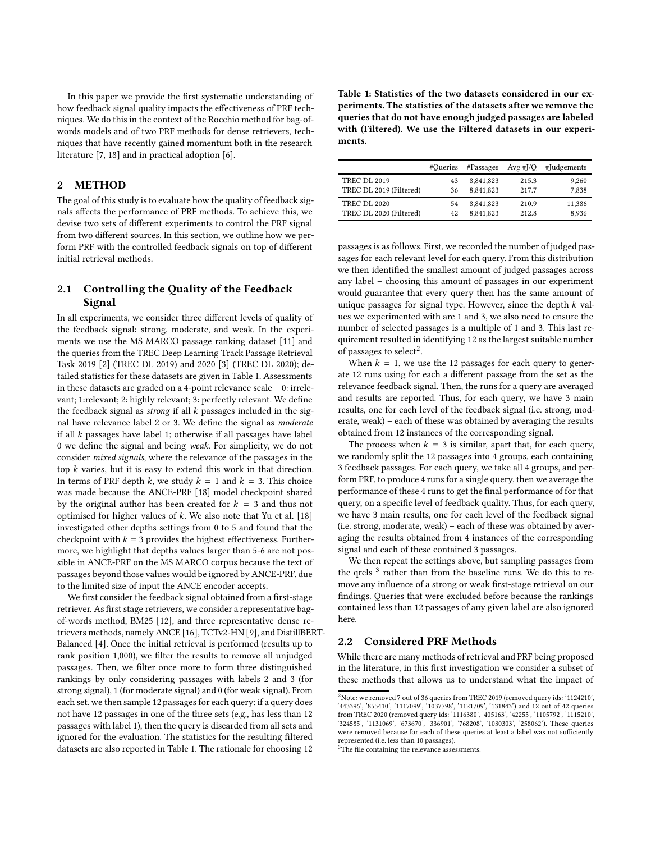In this paper we provide the first systematic understanding of how feedback signal quality impacts the effectiveness of PRF techniques. We do this in the context of the Rocchio method for bag-ofwords models and of two PRF methods for dense retrievers, techniques that have recently gained momentum both in the research literature [\[7](#page-4-8), [18\]](#page-4-9) and in practical adoption [\[6](#page-4-7)].

#### 2 METHOD

The goal of this study is to evaluate how the quality of feedback signals affects the performance of PRF methods. To achieve this, we devise two sets of different experiments to control the PRF signal from two different sources. In this section, we outline how we perform PRF with the controlled feedback signals on top of different initial retrieval methods.

### 2.1 Controlling the Quality of the Feedback Signal

In all experiments, we consider three different levels of quality of the feedback signal: strong, moderate, and weak. In the experiments we use the MS MARCO passage ranking dataset [\[11\]](#page-4-11) and the queries from the TREC Deep Learning Track Passage Retrieval Task 2019 [\[2](#page-4-12)] (TREC DL 2019) and 2020 [\[3\]](#page-4-13) (TREC DL 2020); detailed statistics for these datasets are given in Table [1.](#page-1-0) Assessments in these datasets are graded on a 4-point relevance scale – 0: irrelevant; 1:relevant; 2: highly relevant; 3: perfectly relevant. We define the feedback signal as *strong* if all  $k$  passages included in the signal have relevance label 2 or 3. We define the signal as *moderate* if all  $k$  passages have label 1; otherwise if all passages have label 0 we define the signal and being *weak*. For simplicity, we do not consider *mixed signals*, where the relevance of the passages in the top  $k$  varies, but it is easy to extend this work in that direction. In terms of PRF depth  $k$ , we study  $k = 1$  and  $k = 3$ . This choice was made because the ANCE-PRF [\[18\]](#page-4-9) model checkpoint shared by the original author has been created for  $k = 3$  and thus not optimised for higher values of  $k$ . We also note that Yu et al. [\[18\]](#page-4-9) investigated other depths settings from 0 to 5 and found that the checkpoint with  $k = 3$  provides the highest effectiveness. Furthermore, we highlight that depths values larger than 5-6 are not possible in ANCE-PRF on the MS MARCO corpus because the text of passages beyond those values would be ignored by ANCE-PRF, due to the limited size of input the ANCE encoder accepts.

We first consider the feedback signal obtained from a first-stage retriever. As first stage retrievers, we consider a representative bagof-words method, BM25 [\[12\]](#page-4-5), and three representative dense retrievers methods, namely ANCE [\[16\]](#page-4-14), TCTv2-HN [\[9\]](#page-4-15), and DistillBERT-Balanced [\[4\]](#page-4-16). Once the initial retrieval is performed (results up to rank position 1,000), we filter the results to remove all unjudged passages. Then, we filter once more to form three distinguished rankings by only considering passages with labels 2 and 3 (for strong signal), 1 (for moderate signal) and 0 (for weak signal). From each set, we then sample 12 passages for each query; if a query does not have 12 passages in one of the three sets (e.g., has less than 12 passages with label 1), then the query is discarded from all sets and ignored for the evaluation. The statistics for the resulting filtered datasets are also reported in Table [1.](#page-1-0) The rationale for choosing 12

<span id="page-1-0"></span>Table 1: Statistics of the two datasets considered in our experiments. The statistics of the datasets after we remove the queries that do not have enough judged passages are labeled with (Filtered). We use the Filtered datasets in our experiments.

|                                                | #Oueries | #Passages              | Avg #J/Q       | #Judgements    |
|------------------------------------------------|----------|------------------------|----------------|----------------|
| <b>TREC DL 2019</b><br>TREC DL 2019 (Filtered) | 43<br>36 | 8,841,823<br>8,841,823 | 215.3<br>217.7 | 9.260<br>7.838 |
| <b>TREC DL 2020</b>                            | 54       | 8,841,823              | 210.9          | 11,386         |
| TREC DL 2020 (Filtered)                        | 42       | 8.841.823              | 212.8          | 8.936          |

passages is as follows. First, we recorded the number of judged passages for each relevant level for each query. From this distribution we then identified the smallest amount of judged passages across any label – choosing this amount of passages in our experiment would guarantee that every query then has the same amount of unique passages for signal type. However, since the depth  $k$  values we experimented with are 1 and 3, we also need to ensure the number of selected passages is a multiple of 1 and 3. This last requirement resulted in identifying 12 as the largest suitable number of passages to select<sup>[2](#page-1-1)</sup>.

When  $k = 1$ , we use the 12 passages for each query to generate 12 runs using for each a different passage from the set as the relevance feedback signal. Then, the runs for a query are averaged and results are reported. Thus, for each query, we have 3 main results, one for each level of the feedback signal (i.e. strong, moderate, weak) – each of these was obtained by averaging the results obtained from 12 instances of the corresponding signal.

The process when  $k = 3$  is similar, apart that, for each query, we randomly split the 12 passages into 4 groups, each containing 3 feedback passages. For each query, we take all 4 groups, and perform PRF, to produce 4 runs for a single query, then we average the performance of these 4 runs to get the final performance of for that query, on a specific level of feedback quality. Thus, for each query, we have 3 main results, one for each level of the feedback signal (i.e. strong, moderate, weak) – each of these was obtained by averaging the results obtained from 4 instances of the corresponding signal and each of these contained 3 passages.

We then repeat the settings above, but sampling passages from the qrels<sup>[3](#page-1-2)</sup> rather than from the baseline runs. We do this to remove any influence of a strong or weak first-stage retrieval on our findings. Queries that were excluded before because the rankings contained less than 12 passages of any given label are also ignored here.

#### 2.2 Considered PRF Methods

While there are many methods of retrieval and PRF being proposed in the literature, in this first investigation we consider a subset of these methods that allows us to understand what the impact of

```
<sup>3</sup>The file containing the relevance assessments.
```
<span id="page-1-1"></span> $2\overline{2}$ Note: we removed 7 out of 36 queries from TREC 2019 (removed query ids: '1124210', '443396', '855410', '1117099', '1037798', '1121709', '131843') and 12 out of 42 queries from TREC 2020 (removed query ids: '1116380', '405163', '42255', '1105792', '1115210', '324585', '1131069', '673670', '336901', '768208', '1030303', '258062'). These queries were removed because for each of these queries at least a label was not sufficiently represented (i.e. less than 10 passages).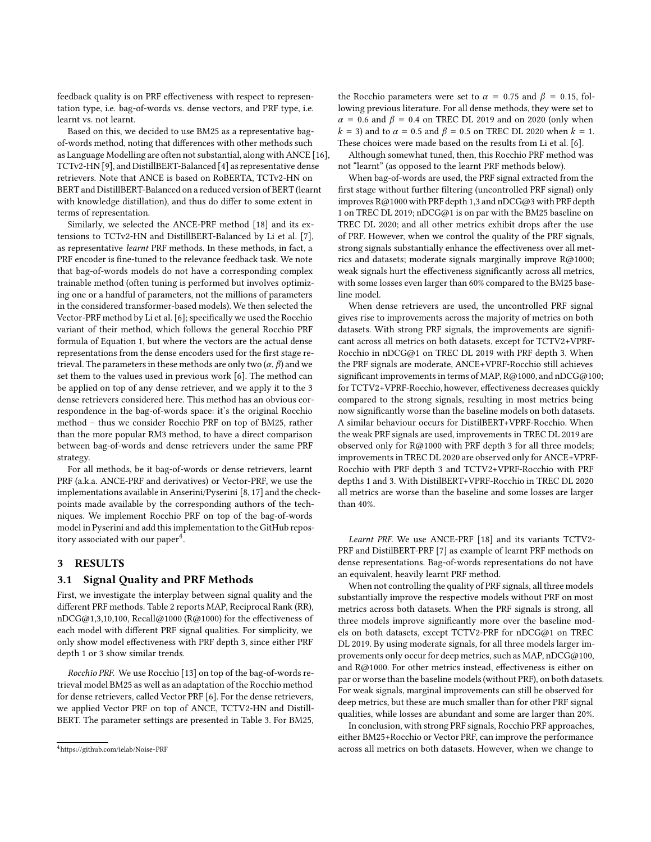feedback quality is on PRF effectiveness with respect to representation type, i.e. bag-of-words vs. dense vectors, and PRF type, i.e. learnt vs. not learnt.

Based on this, we decided to use BM25 as a representative bagof-words method, noting that differences with other methods such as Language Modelling are often not substantial, along withANCE [\[16](#page-4-14)], TCTv2-HN [\[9\]](#page-4-15), and DistillBERT-Balanced [\[4](#page-4-16)] as representative dense retrievers. Note that ANCE is based on RoBERTA, TCTv2-HN on BERT and DistillBERT-Balanced on a reduced version of BERT (learnt with knowledge distillation), and thus do differ to some extent in terms of representation.

Similarly, we selected the ANCE-PRF method [\[18](#page-4-9)] and its extensions to TCTv2-HN and DistillBERT-Balanced by Li et al. [\[7\]](#page-4-8), as representative *learnt* PRF methods. In these methods, in fact, a PRF encoder is fine-tuned to the relevance feedback task. We note that bag-of-words models do not have a corresponding complex trainable method (often tuning is performed but involves optimizing one or a handful of parameters, not the millions of parameters in the considered transformer-based models). We then selected the Vector-PRF method by Li et al. [\[6](#page-4-7)]; specifically we used the Rocchio variant of their method, which follows the general Rocchio PRF formula of Equation [1,](#page-0-1) but where the vectors are the actual dense representations from the dense encoders used for the first stage retrieval. The parameters in these methods are only two  $(\alpha, \beta)$  and we set them to the values used in previous work [\[6](#page-4-7)]. The method can be applied on top of any dense retriever, and we apply it to the 3 dense retrievers considered here. This method has an obvious correspondence in the bag-of-words space: it's the original Rocchio method – thus we consider Rocchio PRF on top of BM25, rather than the more popular RM3 method, to have a direct comparison between bag-of-words and dense retrievers under the same PRF strategy.

For all methods, be it bag-of-words or dense retrievers, learnt PRF (a.k.a. ANCE-PRF and derivatives) or Vector-PRF, we use the implementations available in Anserini/Pyserini [\[8,](#page-4-17) [17\]](#page-4-18) and the checkpoints made available by the corresponding authors of the techniques. We implement Rocchio PRF on top of the bag-of-words model in Pyserini and add this implementation to the GitHub repository associated with our paper $^4$  $^4$ .

#### 3 RESULTS

#### 3.1 Signal Quality and PRF Methods

First, we investigate the interplay between signal quality and the different PRF methods. Table [2](#page-3-0) reports MAP, Reciprocal Rank (RR), nDCG@1,3,10,100, Recall@1000 (R@1000) for the effectiveness of each model with different PRF signal qualities. For simplicity, we only show model effectiveness with PRF depth 3, since either PRF depth 1 or 3 show similar trends.

*Rocchio PRF.* We use Rocchio [\[13\]](#page-4-1) on top of the bag-of-words retrieval model BM25 as well as an adaptation of the Rocchio method for dense retrievers, called Vector PRF [\[6\]](#page-4-7). For the dense retrievers, we applied Vector PRF on top of ANCE, TCTV2-HN and Distill-BERT. The parameter settings are presented in Table [3.](#page-3-1) For BM25,

the Rocchio parameters were set to  $\alpha = 0.75$  and  $\beta = 0.15$ , following previous literature. For all dense methods, they were set to  $\alpha$  = 0.6 and  $\beta$  = 0.4 on TREC DL 2019 and on 2020 (only when  $k = 3$ ) and to  $\alpha = 0.5$  and  $\beta = 0.5$  on TREC DL 2020 when  $k = 1$ . These choices were made based on the results from Li et al. [\[6](#page-4-7)].

Although somewhat tuned, then, this Rocchio PRF method was not "learnt" (as opposed to the learnt PRF methods below).

When bag-of-words are used, the PRF signal extracted from the first stage without further filtering (uncontrolled PRF signal) only improves R@1000 with PRF depth 1,3 and nDCG@3 with PRF depth 1 on TREC DL 2019; nDCG@1 is on par with the BM25 baseline on TREC DL 2020; and all other metrics exhibit drops after the use of PRF. However, when we control the quality of the PRF signals, strong signals substantially enhance the effectiveness over all metrics and datasets; moderate signals marginally improve R@1000; weak signals hurt the effectiveness significantly across all metrics, with some losses even larger than 60% compared to the BM25 baseline model.

When dense retrievers are used, the uncontrolled PRF signal gives rise to improvements across the majority of metrics on both datasets. With strong PRF signals, the improvements are significant across all metrics on both datasets, except for TCTV2+VPRF-Rocchio in nDCG@1 on TREC DL 2019 with PRF depth 3. When the PRF signals are moderate, ANCE+VPRF-Rocchio still achieves significant improvements in terms of MAP, R@1000, and nDCG@100; for TCTV2+VPRF-Rocchio, however, effectiveness decreases quickly compared to the strong signals, resulting in most metrics being now significantly worse than the baseline models on both datasets. A similar behaviour occurs for DistilBERT+VPRF-Rocchio. When the weak PRF signals are used, improvements in TREC DL 2019 are observed only for R@1000 with PRF depth 3 for all three models; improvements in TREC DL 2020 are observed only for ANCE+VPRF-Rocchio with PRF depth 3 and TCTV2+VPRF-Rocchio with PRF depths 1 and 3. With DistilBERT+VPRF-Rocchio in TREC DL 2020 all metrics are worse than the baseline and some losses are larger than 40%.

*Learnt PRF.* We use ANCE-PRF [\[18\]](#page-4-9) and its variants TCTV2- PRF and DistilBERT-PRF [\[7\]](#page-4-8) as example of learnt PRF methods on dense representations. Bag-of-words representations do not have an equivalent, heavily learnt PRF method.

When not controlling the quality of PRF signals, all three models substantially improve the respective models without PRF on most metrics across both datasets. When the PRF signals is strong, all three models improve significantly more over the baseline models on both datasets, except TCTV2-PRF for nDCG@1 on TREC DL 2019. By using moderate signals, for all three models larger improvements only occur for deep metrics, such as MAP, nDCG@100, and R@1000. For other metrics instead, effectiveness is either on par or worse than the baseline models (without PRF), on both datasets. For weak signals, marginal improvements can still be observed for deep metrics, but these are much smaller than for other PRF signal qualities, while losses are abundant and some are larger than 20%.

In conclusion, with strong PRF signals, Rocchio PRF approaches, either BM25+Rocchio or Vector PRF, can improve the performance across all metrics on both datasets. However, when we change to

<span id="page-2-0"></span><sup>4</sup><https://github.com/ielab/Noise-PRF>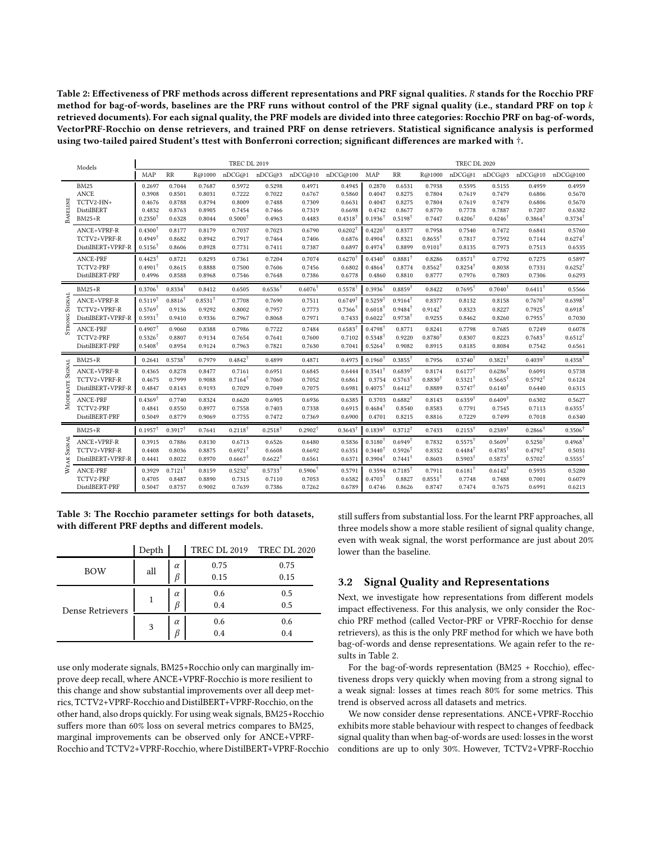<span id="page-3-0"></span>Table 2: Effectiveness of PRF methods across different representations and PRF signal qualities. R stands for the Rocchio PRF method for bag-of-words, baselines are the PRF runs without control of the PRF signal quality (i.e., standard PRF on top  $k$ retrieved documents). For each signal quality, the PRF models are divided into three categories: Rocchio PRF on bag-of-words, VectorPRF-Rocchio on dense retrievers, and trained PRF on dense retrievers. Statistical significance analysis is performed using two-tailed paired Student's ttest with Bonferroni correction; significant differences are marked with †.

|               | Models            | <b>TREC DL 2019</b> |                    |                    |                    |                    |                    |                       | <b>TREC DL 2020</b>          |                    |                    |                    |                    |                    |                              |
|---------------|-------------------|---------------------|--------------------|--------------------|--------------------|--------------------|--------------------|-----------------------|------------------------------|--------------------|--------------------|--------------------|--------------------|--------------------|------------------------------|
|               |                   | MAP                 | RR                 | R@1000             | nDCG@1             | nDCG@3             | nDCG@10            | nDCG@100              | <b>MAP</b>                   | <b>RR</b>          | R@1000             | nDCG@1             | nDCG@3             | nDCG@10            | nDCG@100                     |
|               | <b>BM25</b>       | 0.2697              | 0.7044             | 0.7687             | 0.5972             | 0.5298             | 0.4971             | 0.4945                | 0.2870                       | 0.6531             | 0.7938             | 0.5595             | 0.5155             | 0.4959             | 0.4959                       |
|               | <b>ANCE</b>       | 0.3908              | 0.8501             | 0.8031             | 0.7222             | 0.7022             | 0.6767             | 0.5860                | 0.4047                       | 0.8275             | 0.7804             | 0.7619             | 0.7479             | 0.6806             | 0.5670                       |
|               | TCTV2-HN+         | 0.4676              | 0.8788             | 0.8794             | 0.8009             | 0.7488             | 0.7309             | 0.6631                | 0.4047                       | 0.8275             | 0.7804             | 0.7619             | 0.7479             | 0.6806             | 0.5670                       |
| BASELINE      | DistilBERT        | 0.4832              | 0.8763             | 0.8905             | 0.7454             | 0.7466             | 0.7319             | 0.6698                | 0.4742<br>$0.1936^{\dagger}$ | 0.8677             | 0.8770             | 0.7778             | 0.7887             | 0.7207             | 0.6382<br>$0.3734^{\dagger}$ |
|               | $BM25+R$          | $0.2350^{\dagger}$  | 0.6328             | 0.8044             | $0.5000^{\dagger}$ | 0.4963             | 0.4483             | $0.4318^{\dagger}$    |                              | $0.5198^{\dagger}$ | 0.7447             | $0.4206^{\dagger}$ | $0.4246^{\dagger}$ | $0.3864^{\dagger}$ |                              |
|               | ANCE+VPRF-R       | $0.4300^{\dagger}$  | 0.8177             | 0.8179             | 0.7037             | 0.7023             | 0.6790             | $0.6202^{\dagger}$    | $0.4220^{\dagger}$           | 0.8377             | 0.7958             | 0.7540             | 0.7472             | 0.6841             | 0.5760                       |
|               | TCTV2+VPRF-R      | $0.4949^{\dagger}$  | 0.8682             | 0.8942             | 0.7917             | 0.7464             | 0.7406             | 0.6876                | $0.4904^{\dagger}$           | 0.8321             | $0.8655^{\dagger}$ | 0.7817             | 0.7592             | 0.7144             | $0.6274^{\dagger}$           |
|               | DistilBERT+VPRF-R | $0.5156^{\dagger}$  | 0.8606             | 0.8928             | 0.7731             | 0.7411             | 0.7387             | 0.6897                | $0.4974^{\dagger}$           | 0.8899             | $0.9101^{\dagger}$ | 0.8135             | 0.7973             | 0.7513             | 0.6535                       |
|               | ANCE-PRF          | $0.4423^{\dagger}$  | 0.8721             | 0.8293             | 0.7361             | 0.7204             | 0.7074             | $0.6270$ <sup>1</sup> | $0.4340^{\dagger}$           | $0.8881^{\dagger}$ | 0.8286             | $0.8571^{\dagger}$ | 0.7792             | 0.7275             | 0.5897                       |
|               | TCTV2-PRF         | $0.4901^{\dagger}$  | 0.8615             | 0.8888             | 0.7500             | 0.7606             | 0.7456             | 0.6802                | $0.4864^{\dagger}$           | 0.8774             | $0.8562^{\dagger}$ | $0.8254^{\dagger}$ | 0.8038             | 0.7331             | $0.6252^{\dagger}$           |
|               | DistilBERT-PRF    | 0.4996              | 0.8588             | 0.8968             | 0.7546             | 0.7648             | 0.7386             | 0.6778                | 0.4860                       | 0.8810             | 0.8777             | 0.7976             | 0.7803             | 0.7306             | 0.6293                       |
|               | $BM25+R$          | $0.3706^{\dagger}$  | $0.8334^{\dagger}$ | 0.8412             | 0.6505             | $0.6536^{\dagger}$ | $0.6076^{\dagger}$ | 0.5578                | $0.3936^{\dagger}$           | $0.8859^{\dagger}$ | 0.8422             | $0.7695^{\dagger}$ | $0.7040^{\dagger}$ | $0.6411^{\dagger}$ | 0.5566                       |
| SIGNAL        | ANCE+VPRF-R       | $0.5119^{\dagger}$  | $0.8816^{\dagger}$ | $0.8531^{\dagger}$ | 0.7708             | 0.7690             | 0.7511             | $0.6749$ <sup>1</sup> | $0.5259^{\dagger}$           | $0.9164^{\dagger}$ | 0.8377             | 0.8132             | 0.8158             | $0.7670^{\dagger}$ | $0.6398^{\dagger}$           |
|               | TCTV2+VPRF-R      | $0.5769^{\dagger}$  | 0.9136             | 0.9292             | 0.8002             | 0.7957             | 0.7773             | $0.7366^{\dagger}$    | $0.6018^{\dagger}$           | $0.9484^{\dagger}$ | $0.9142^{\dagger}$ | 0.8323             | 0.8227             | $0.7925^{\dagger}$ | $0.6918^{\dagger}$           |
| STRONG        | DistilBERT+VPRF-R | $0.5931^{\dagger}$  | 0.9410             | 0.9336             | 0.7967             | 0.8068             | 0.7971             | 0.7433                | $0.6022^{\dagger}$           | $0.9738^{\dagger}$ | 0.9255             | 0.8462             | 0.8260             | $0.7955^{\dagger}$ | 0.7030                       |
|               | <b>ANCE-PRF</b>   | $0.4907^{\dagger}$  | 0.9060             | 0.8388             | 0.7986             | 0.7722             | 0.7484             | $0.6583^{\dagger}$    | 0.4798                       | 0.8771             | 0.8241             | 0.7798             | 0.7685             | 0.7249             | 0.6078                       |
|               | TCTV2-PRF         | $0.5326^{\dagger}$  | 0.8807             | 0.9134             | 0.7654             | 0.7641             | 0.7600             | 0.7102                | $0.5348^{\dagger}$           | 0.9220             | $0.8780^{\dagger}$ | 0.8307             | 0.8223             | $0.7683^{\dagger}$ | $0.6512^{\dagger}$           |
|               | DistilBERT-PRF    | $0.5408^{\dagger}$  | 0.8954             | 0.9124             | 0.7963             | 0.7821             | 0.7630             | 0.7041                | $0.5264^{\dagger}$           | 0.9082             | 0.8915             | 0.8185             | 0.8084             | 0.7542             | 0.6561                       |
|               | $BM25+R$          | 0.2641              | $0.5738^{\dagger}$ | 0.7979             | $0.4842^{\dagger}$ | 0.4899             | 0.4871             | 0.4975                | $0.1960^{\dagger}$           | $0.3855^{\dagger}$ | 0.7956             | $0.3740^{\dagger}$ | $0.3821^{\dagger}$ | $0.4039^{\dagger}$ | $0.4358^{\dagger}$           |
| <b>SIGNAL</b> | ANCE+VPRF-R       | 0.4365              | 0.8278             | 0.8477             | 0.7161             | 0.6951             | 0.6845             | 0.6444                | $0.3541^{\dagger}$           | $0.6839^{\dagger}$ | 0.8174             | $0.6177^{\dagger}$ | $0.6286^{\dagger}$ | 0.6091             | 0.5738                       |
| 凹             | TCTV2+VPRF-R      | 0.4675              | 0.7999             | 0.9088             | $0.7164^{\dagger}$ | 0.7060             | 0.7052             | 0.6861                | 0.3754                       | $0.5763^{\dagger}$ | $0.8830^{\dagger}$ | $0.5321^{\dagger}$ | $0.5665^{\dagger}$ | $0.5792^{\dagger}$ | 0.6124                       |
| Мореват       | DistilBERT+VPRF-R | 0.4847              | 0.8143             | 0.9193             | 0.7029             | 0.7049             | 0.7075             | 0.6981                | $0.4075^{\dagger}$           | $0.6412^{\dagger}$ | 0.8889             | $0.5747^{\dagger}$ | $0.6140^{\dagger}$ | 0.6440             | 0.6315                       |
|               | ANCE-PRF          | $0.4369^{\dagger}$  | 0.7740             | 0.8324             | 0.6620             | 0.6905             | 0.6936             | 0.6385                | 0.3703                       | $0.6882^{\dagger}$ | 0.8143             | $0.6359^{\dagger}$ | $0.6409^{\dagger}$ | 0.6302             | 0.5627                       |
|               | TCTV2-PRF         | 0.4841              | 0.8550             | 0.8977             | 0.7558             | 0.7403             | 0.7338             | 0.6915                | $0.4684^{\dagger}$           | 0.8540             | 0.8583             | 0.7791             | 0.7545             | 0.7113             | $0.6355^{\dagger}$           |
|               | DistilBERT-PRF    | 0.5049              | 0.8779             | 0.9069             | 0.7755             | 0.7472             | 0.7369             | 0.6900                | 0.4701                       | 0.8215             | 0.8816             | 0.7229             | 0.7499             | 0.7018             | 0.6340                       |
|               | $BM25+R$          | $0.1957^{\dagger}$  | $0.3917^{\dagger}$ | 0.7641             | $0.2118^{\dagger}$ | $0.2518^{\dagger}$ | $0.2902^{\dagger}$ | 0.3643                | $0.1839^{\dagger}$           | $0.3712^{\dagger}$ | 0.7433             | $0.2153^{\dagger}$ | $0.2389^{\dagger}$ | $0.2866^{\dagger}$ | $0.3506^{\dagger}$           |
| SIGNAL        | ANCE+VPRF-R       | 0.3915              | 0.7886             | 0.8130             | 0.6713             | 0.6526             | 0.6480             | 0.5836                | $0.3180^{\dagger}$           | $0.6949^{\dagger}$ | 0.7832             | $0.5575^{\dagger}$ | $0.5609^{\dagger}$ | $0.5250^{\dagger}$ | $0.4968^{\dagger}$           |
|               | TCTV2+VPRF-R      | 0.4408              | 0.8036             | 0.8875             | $0.6921^{\dagger}$ | 0.6608             | 0.6692             | 0.6351                | $0.3440^{\dagger}$           | $0.5926^{\dagger}$ | 0.8352             | $0.4484^{\dagger}$ | $0.4785^{\dagger}$ | $0.4792^{\dagger}$ | 0.5031                       |
| ×             | DistilBERT+VPRF-R | 0.4441              | 0.8022             | 0.8970             | $0.6667^{\dagger}$ | $0.6622^{\dagger}$ | 0.6561             | 0.6371                | $0.3904^{\dagger}$           | $0.7441^{\dagger}$ | 0.8603             | $0.5903^{\dagger}$ | $0.5873^{\dagger}$ | $0.5702^{\dagger}$ | $0.5555^{\dagger}$           |
| ≋             | ANCE-PRF          | 0.3929              | $0.7121^{\dagger}$ | 0.8159             | $0.5232^{\dagger}$ | $0.5733^{\dagger}$ | $0.5906^{\dagger}$ | 0.5791                | 0.3594                       | $0.7185^{\dagger}$ | 0.7911             | $0.6181^{\dagger}$ | $0.6142^{\dagger}$ | 0.5935             | 0.5280                       |
|               | TCTV2-PRF         | 0.4705              | 0.8487             | 0.8890             | 0.7315             | 0.7110             | 0.7053             | 0.6582                | $0.4703^{\dagger}$           | 0.8827             | $0.8551^{\dagger}$ | 0.7748             | 0.7488             | 0.7001             | 0.6079                       |
|               | DistilBERT-PRF    | 0.5047              | 0.8757             | 0.9002             | 0.7639             | 0.7386             | 0.7262             | 0.6789                | 0.4746                       | 0.8626             | 0.8747             | 0.7474             | 0.7675             | 0.6991             | 0.6213                       |
|               |                   |                     |                    |                    |                    |                    |                    |                       |                              |                    |                    |                    |                    |                    |                              |

<span id="page-3-1"></span>Table 3: The Rocchio parameter settings for both datasets, with different PRF depths and different models.

|                  | Depth |               |              | TREC DL 2019 TREC DL 2020 |
|------------------|-------|---------------|--------------|---------------------------|
| <b>BOW</b>       | all   | $\alpha$<br>ß | 0.75<br>0.15 | 0.75<br>0.15              |
| Dense Retrievers |       | $\alpha$<br>ß | 0.6<br>0.4   | 0.5<br>0.5                |
|                  | 3     | $\alpha$      | 0.6<br>0.4   | 0.6<br>0.4                |

use only moderate signals, BM25+Rocchio only can marginally improve deep recall, where ANCE+VPRF-Rocchio is more resilient to this change and show substantial improvements over all deep metrics, TCTV2+VPRF-Rocchio and DistilBERT+VPRF-Rocchio, on the other hand, also drops quickly. For using weak signals, BM25+Rocchio suffers more than 60% loss on several metrics compares to BM25, marginal improvements can be observed only for ANCE+VPRF-Rocchio and TCTV2+VPRF-Rocchio, where DistilBERT+VPRF-Rocchio still suffers from substantial loss. For the learnt PRF approaches, all three models show a more stable resilient of signal quality change, even with weak signal, the worst performance are just about 20% lower than the baseline.

#### 3.2 Signal Quality and Representations

Next, we investigate how representations from different models impact effectiveness. For this analysis, we only consider the Rocchio PRF method (called Vector-PRF or VPRF-Rocchio for dense retrievers), as this is the only PRF method for which we have both bag-of-words and dense representations. We again refer to the results in Table [2.](#page-3-0)

For the bag-of-words representation (BM25 + Rocchio), effectiveness drops very quickly when moving from a strong signal to a weak signal: losses at times reach 80% for some metrics. This trend is observed across all datasets and metrics.

We now consider dense representations. ANCE+VPRF-Rocchio exhibits more stable behaviour with respect to changes of feedback signal quality than when bag-of-words are used: losses in the worst conditions are up to only 30%. However, TCTV2+VPRF-Rocchio